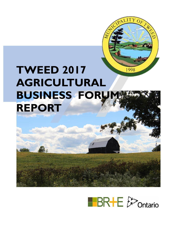

# **TWEED 2017 AGRICULTURAL BUSINESS FORUM REPORT**

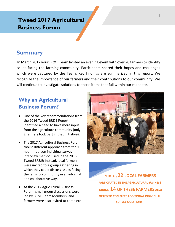# **Tweed 2017 Agricultural Business Forum**

### **Summary**

In March 2017 your BR&E Team hosted an evening event with over 20 farmers to identify issues facing the farming community. Participants shared their hopes and challenges which were captured by the Team. Key findings are summarized in this report. We recognize the importance of our farmers and their contributions to our community. We will continue to investigate solutions to those items that fall within our mandate.

## **Why an Agricultural Business Forum?**

- One of the key recommendations from the 2016 Tweed BR&E Report identified a need to have more input from the agriculture community (only 2 farmers took part in that initiative).
- The 2017 Agricultural Business Forum took a different approach from the 1 hour in-person individual survey interview method used in the 2016 Tweed BR&E; Instead, local farmers were invited to a group gathering in which they could discuss issues facing the farming community in an informal and collaborative way.
- At the 2017 Agricultural Business Forum, small group discussions were led by BR&E Team Members, and farmers were also invited to complete



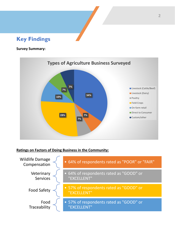## **Key Findings**

#### **Survey Summary:**



#### **Ratings on Factors of Doing Business in the Community:**

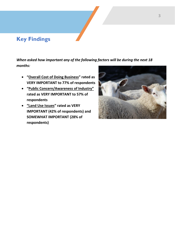## **Key Findings**

*When asked how important any of the following factors will be during the next 18 months:*

- **"Overall Cost of Doing Business" rated as VERY IMPORTANT to 77% of respondents**
- **"Public Concern/Awareness of Industry" rated as VERY IMPORTANT to 57% of respondents**
- **"Land Use Issues" rated as VERY IMPORTANT (42% of respondents) and SOMEWHAT IMPORTANT (28% of respondents)**

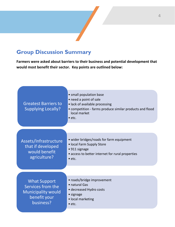# **Group Discussion Summary**

**Farmers were asked about barriers to their business and potential development that would most benefit their sector. Key points are outlined below:**

| <b>Greatest Barriers to</b><br><b>Supplying Locally?</b>                                           | • small population base<br>• need a point of sale<br>· lack of available processing<br>• competition - farms produce similar products and flood<br>local market<br>$\bullet$ etc. |
|----------------------------------------------------------------------------------------------------|-----------------------------------------------------------------------------------------------------------------------------------------------------------------------------------|
|                                                                                                    |                                                                                                                                                                                   |
| Assets/Infrastructure<br>that if developed<br>would benefit<br>agriculture?                        | • wider bridges/roads for farm equipment<br>• local Farm Supply Store<br>• 911 signage<br>• access to better internet for rural properties<br>$\bullet$ etc.                      |
| <b>What Support</b><br>Services from the<br><b>Municipality would</b><br>benefit your<br>business? | • roads/bridge improvement<br>• natural Gas<br>• decreased Hydro costs<br>• signage<br>· local marketing<br>$\bullet$ etc.                                                        |